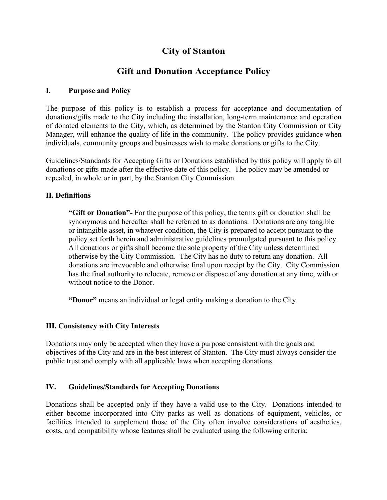## **City of Stanton**

### **Gift and Donation Acceptance Policy**

#### **I. Purpose and Policy**

The purpose of this policy is to establish a process for acceptance and documentation of donations/gifts made to the City including the installation, long-term maintenance and operation of donated elements to the City, which, as determined by the Stanton City Commission or City Manager, will enhance the quality of life in the community. The policy provides guidance when individuals, community groups and businesses wish to make donations or gifts to the City.

Guidelines/Standards for Accepting Gifts or Donations established by this policy will apply to all donations or gifts made after the effective date of this policy. The policy may be amended or repealed, in whole or in part, by the Stanton City Commission.

#### **II. Definitions**

**"Gift or Donation"-** For the purpose of this policy, the terms gift or donation shall be synonymous and hereafter shall be referred to as donations. Donations are any tangible or intangible asset, in whatever condition, the City is prepared to accept pursuant to the policy set forth herein and administrative guidelines promulgated pursuant to this policy. All donations or gifts shall become the sole property of the City unless determined otherwise by the City Commission. The City has no duty to return any donation. All donations are irrevocable and otherwise final upon receipt by the City. City Commission has the final authority to relocate, remove or dispose of any donation at any time, with or without notice to the Donor.

**"Donor"** means an individual or legal entity making a donation to the City.

#### **III. Consistency with City Interests**

Donations may only be accepted when they have a purpose consistent with the goals and objectives of the City and are in the best interest of Stanton. The City must always consider the public trust and comply with all applicable laws when accepting donations.

#### **IV. Guidelines/Standards for Accepting Donations**

Donations shall be accepted only if they have a valid use to the City. Donations intended to either become incorporated into City parks as well as donations of equipment, vehicles, or facilities intended to supplement those of the City often involve considerations of aesthetics, costs, and compatibility whose features shall be evaluated using the following criteria: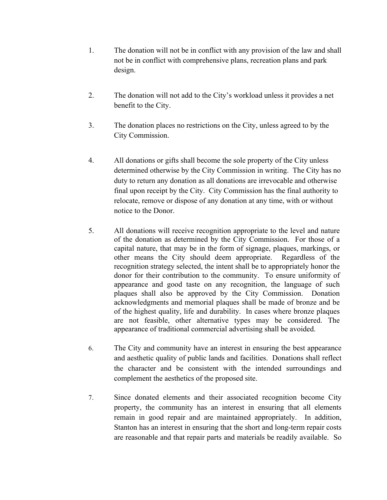- 1. The donation will not be in conflict with any provision of the law and shall not be in conflict with comprehensive plans, recreation plans and park design.
- 2. The donation will not add to the City's workload unless it provides a net benefit to the City.
- 3. The donation places no restrictions on the City, unless agreed to by the City Commission.
- 4. All donations or gifts shall become the sole property of the City unless determined otherwise by the City Commission in writing. The City has no duty to return any donation as all donations are irrevocable and otherwise final upon receipt by the City. City Commission has the final authority to relocate, remove or dispose of any donation at any time, with or without notice to the Donor.
- 5. All donations will receive recognition appropriate to the level and nature of the donation as determined by the City Commission. For those of a capital nature, that may be in the form of signage, plaques, markings, or other means the City should deem appropriate. Regardless of the recognition strategy selected, the intent shall be to appropriately honor the donor for their contribution to the community. To ensure uniformity of appearance and good taste on any recognition, the language of such plaques shall also be approved by the City Commission. Donation acknowledgments and memorial plaques shall be made of bronze and be of the highest quality, life and durability. In cases where bronze plaques are not feasible, other alternative types may be considered. The appearance of traditional commercial advertising shall be avoided.
- 6. The City and community have an interest in ensuring the best appearance and aesthetic quality of public lands and facilities. Donations shall reflect the character and be consistent with the intended surroundings and complement the aesthetics of the proposed site.
- 7. Since donated elements and their associated recognition become City property, the community has an interest in ensuring that all elements remain in good repair and are maintained appropriately. In addition, Stanton has an interest in ensuring that the short and long-term repair costs are reasonable and that repair parts and materials be readily available. So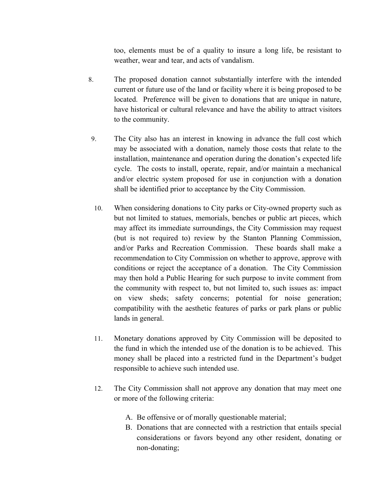too, elements must be of a quality to insure a long life, be resistant to weather, wear and tear, and acts of vandalism.

- 8. The proposed donation cannot substantially interfere with the intended current or future use of the land or facility where it is being proposed to be located. Preference will be given to donations that are unique in nature, have historical or cultural relevance and have the ability to attract visitors to the community.
- 9. The City also has an interest in knowing in advance the full cost which may be associated with a donation, namely those costs that relate to the installation, maintenance and operation during the donation's expected life cycle. The costs to install, operate, repair, and/or maintain a mechanical and/or electric system proposed for use in conjunction with a donation shall be identified prior to acceptance by the City Commission.
- 10. When considering donations to City parks or City-owned property such as but not limited to statues, memorials, benches or public art pieces, which may affect its immediate surroundings, the City Commission may request (but is not required to) review by the Stanton Planning Commission, and/or Parks and Recreation Commission. These boards shall make a recommendation to City Commission on whether to approve, approve with conditions or reject the acceptance of a donation. The City Commission may then hold a Public Hearing for such purpose to invite comment from the community with respect to, but not limited to, such issues as: impact on view sheds; safety concerns; potential for noise generation; compatibility with the aesthetic features of parks or park plans or public lands in general.
- 11. Monetary donations approved by City Commission will be deposited to the fund in which the intended use of the donation is to be achieved. This money shall be placed into a restricted fund in the Department's budget responsible to achieve such intended use.
- 12. The City Commission shall not approve any donation that may meet one or more of the following criteria:
	- A. Be offensive or of morally questionable material;
	- B. Donations that are connected with a restriction that entails special considerations or favors beyond any other resident, donating or non-donating;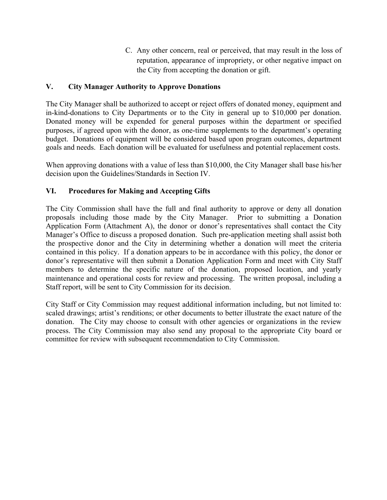C. Any other concern, real or perceived, that may result in the loss of reputation, appearance of impropriety, or other negative impact on the City from accepting the donation or gift.

#### **V. City Manager Authority to Approve Donations**

The City Manager shall be authorized to accept or reject offers of donated money, equipment and in-kind-donations to City Departments or to the City in general up to \$10,000 per donation. Donated money will be expended for general purposes within the department or specified purposes, if agreed upon with the donor, as one-time supplements to the department's operating budget. Donations of equipment will be considered based upon program outcomes, department goals and needs. Each donation will be evaluated for usefulness and potential replacement costs.

When approving donations with a value of less than \$10,000, the City Manager shall base his/her decision upon the Guidelines/Standards in Section IV.

#### **VI. Procedures for Making and Accepting Gifts**

The City Commission shall have the full and final authority to approve or deny all donation proposals including those made by the City Manager. Prior to submitting a Donation Application Form (Attachment A), the donor or donor's representatives shall contact the City Manager's Office to discuss a proposed donation. Such pre-application meeting shall assist both the prospective donor and the City in determining whether a donation will meet the criteria contained in this policy. If a donation appears to be in accordance with this policy, the donor or donor's representative will then submit a Donation Application Form and meet with City Staff members to determine the specific nature of the donation, proposed location, and yearly maintenance and operational costs for review and processing. The written proposal, including a Staff report, will be sent to City Commission for its decision.

City Staff or City Commission may request additional information including, but not limited to: scaled drawings; artist's renditions; or other documents to better illustrate the exact nature of the donation. The City may choose to consult with other agencies or organizations in the review process. The City Commission may also send any proposal to the appropriate City board or committee for review with subsequent recommendation to City Commission.